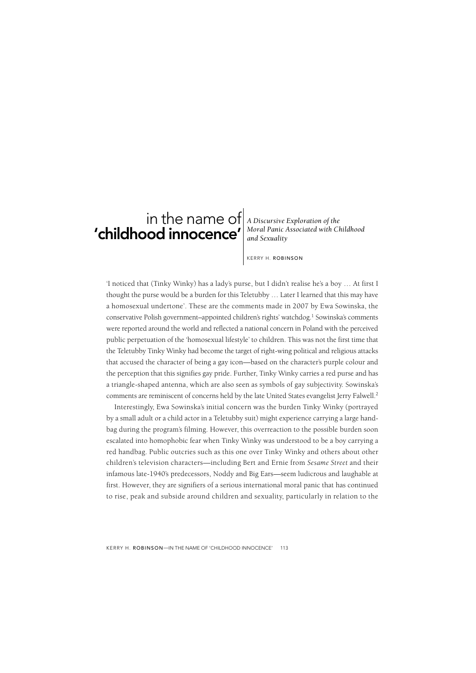# in the name of 'childhood innocence'

*A Discursive Exploration of the Moral Panic Associated with Childhood and Sexuality*

KERRY H. ROBINSON

'I noticed that (Tinky Winky) has a lady's purse, but I didn't realise he's a boy … At first I thought the purse would be a burden for this Teletubby … Later I learned that this may have a homosexual undertone'. These are the comments made in 2007 by Ewa Sowinska, the conservative Polish government-appointed children's rights' watchdog.<sup>1</sup> Sowinska's comments were reported around the world and reflected a national concern in Poland with the perceived public perpetuation of the 'homosexual lifestyle' to children. This was not the first time that the Teletubby Tinky Winky had become the target of right-wing political and religious attacks that accused the character of being a gay icon—based on the character's purple colour and the perception that this signifies gay pride. Further, Tinky Winky carries a red purse and has a triangle-shaped antenna, which are also seen as symbols of gay subjectivity. Sowinska's comments are reminiscent of concerns held by the late United States evangelist Jerry Falwell.<sup>2</sup>

Interestingly, Ewa Sowinska's initial concern was the burden Tinky Winky (portrayed by a small adult or a child actor in a Teletubby suit) might experience carrying a large handbag during the program's filming. However, this overreaction to the possible burden soon escalated into homophobic fear when Tinky Winky was understood to be a boy carrying a red handbag. Public outcries such as this one over Tinky Winky and others about other children's television characters—including Bert and Ernie from *Sesame Street* and their infamous late-1940's predecessors, Noddy and Big Ears—seem ludicrous and laughable at first. However, they are signifiers of a serious international moral panic that has continued to rise, peak and subside around children and sexuality, particularly in relation to the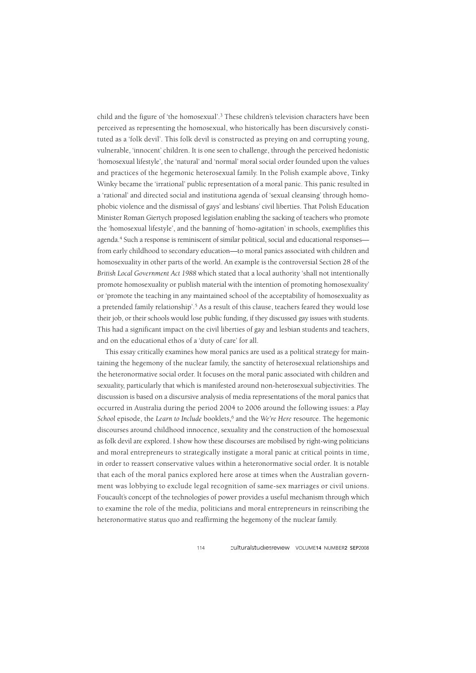child and the figure of 'the homosexual'.3 These children's television characters have been perceived as representing the homosexual, who historically has been discursively constituted as a 'folk devil'. This folk devil is constructed as preying on and corrupting young, vulnerable, 'innocent' children. It is one seen to challenge, through the perceived hedonistic 'homosexual lifestyle', the 'natural' and 'normal' moral social order founded upon the values and practices of the hegemonic heterosexual family. In the Polish example above, Tinky Winky became the 'irrational' public representation of a moral panic. This panic resulted in a 'rational' and directed social and institutiona agenda of 'sexual cleansing' through homophobic violence and the dismissal of gays' and lesbians' civil liberties. That Polish Education Minister Roman Giertych proposed legislation enabling the sacking of teachers who promote the 'homosexual lifestyle', and the banning of 'homo-agitation' in schools, exemplifies this agenda.<sup>4</sup> Such a response is reminiscent of similar political, social and educational responses from early childhood to secondary education—to moral panics associated with children and homosexuality in other parts of the world. An example is the controversial Section 28 of the *British Local Government Act 1988* which stated that a local authority 'shall not intentionally promote homosexuality or publish material with the intention of promoting homosexuality' or 'promote the teaching in any maintained school of the acceptability of homosexuality as a pretended family relationship'.<sup>5</sup> As a result of this clause, teachers feared they would lose their job, or their schools would lose public funding, if they discussed gay issues with students. This had a significant impact on the civil liberties of gay and lesbian students and teachers, and on the educational ethos of a 'duty of care' for all.

This essay critically examines how moral panics are used as a political strategy for maintaining the hegemony of the nuclear family, the sanctity of heterosexual relationships and the heteronormative social order. It focuses on the moral panic associated with children and sexuality, particularly that which is manifested around non-heterosexual subjectivities. The discussion is based on a discursive analysis of media representations of the moral panics that occurred in Australia during the period 2004 to 2006 around the following issues: a *Play School* episode, the *Learn to Include* booklets,6 and the *We're Here* resource. The hegemonic discourses around childhood innocence, sexuality and the construction of the homosexual as folk devil are explored. I show how these discourses are mobilised by right-wing politicians and moral entrepreneurs to strategically instigate a moral panic at critical points in time, in order to reassert conservative values within a heteronormative social order. It is notable that each of the moral panics explored here arose at times when the Australian government was lobbying to exclude legal recognition of same-sex marriages or civil unions. Foucault's concept of the technologies of power provides a useful mechanism through which to examine the role of the media, politicians and moral entrepreneurs in reinscribing the heteronormative status quo and reaffirming the hegemony of the nuclear family.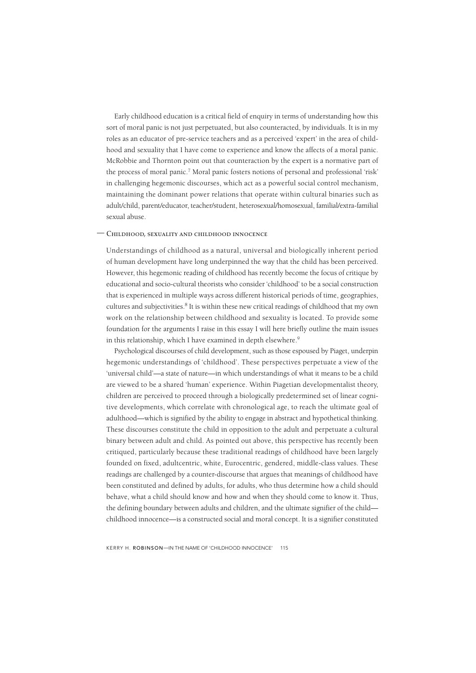Early childhood education is a critical field of enquiry in terms of understanding how this sort of moral panic is not just perpetuated, but also counteracted, by individuals. It is in my roles as an educator of pre-service teachers and as a perceived 'expert' in the area of childhood and sexuality that I have come to experience and know the affects of a moral panic. McRobbie and Thornton point out that counteraction by the expert is a normative part of the process of moral panic.7 Moral panic fosters notions of personal and professional 'risk' in challenging hegemonic discourses, which act as a powerful social control mechanism, maintaining the dominant power relations that operate within cultural binaries such as adult/child, parent/educator, teacher/student, heterosexual/homosexual, familial/extra-familial sexual abuse.

### Childhood, sexuality and childhood innocence —

Understandings of childhood as a natural, universal and biologically inherent period of human development have long underpinned the way that the child has been perceived. However, this hegemonic reading of childhood has recently become the focus of critique by educational and socio-cultural theorists who consider 'childhood' to be a social construction that is experienced in multiple ways across different historical periods of time, geographies, cultures and subjectivities.<sup>8</sup> It is within these new critical readings of childhood that my own work on the relationship between childhood and sexuality is located. To provide some foundation for the arguments I raise in this essay I will here briefly outline the main issues in this relationship, which I have examined in depth elsewhere.<sup>9</sup>

Psychological discourses of child development, such as those espoused by Piaget, underpin hegemonic understandings of 'childhood'. These perspectives perpetuate a view of the 'universal child'—a state of nature—in which understandings of what it means to be a child are viewed to be a shared 'human' experience. Within Piagetian developmentalist theory, children are perceived to proceed through a biologically predetermined set of linear cognitive developments, which correlate with chronological age, to reach the ultimate goal of adulthood—which is signified by the ability to engage in abstract and hypothetical thinking. These discourses constitute the child in opposition to the adult and perpetuate a cultural binary between adult and child. As pointed out above, this perspective has recently been critiqued, particularly because these traditional readings of childhood have been largely founded on fixed, adultcentric, white, Eurocentric, gendered, middle-class values. These readings are challenged by a counter-discourse that argues that meanings of childhood have been constituted and defined by adults, for adults, who thus determine how a child should behave, what a child should know and how and when they should come to know it. Thus, the defining boundary between adults and children, and the ultimate signifier of the child childhood innocence—is a constructed social and moral concept. It is a signifier constituted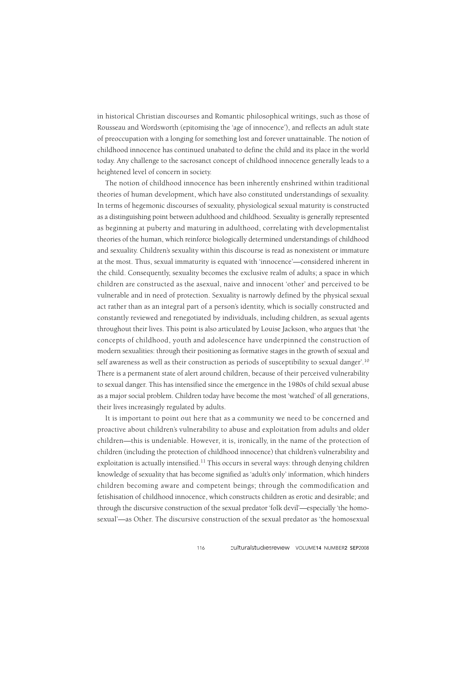in historical Christian discourses and Romantic philosophical writings, such as those of Rousseau and Wordsworth (epitomising the 'age of innocence'), and reflects an adult state of preoccupation with a longing for something lost and forever unattainable. The notion of childhood innocence has continued unabated to define the child and its place in the world today. Any challenge to the sacrosanct concept of childhood innocence generally leads to a heightened level of concern in society.

The notion of childhood innocence has been inherently enshrined within traditional theories of human development, which have also constituted understandings of sexuality. In terms of hegemonic discourses of sexuality, physiological sexual maturity is constructed as a distinguishing point between adulthood and childhood. Sexuality is generally represented as beginning at puberty and maturing in adulthood, correlating with developmentalist theories of the human, which reinforce biologically determined understandings of childhood and sexuality. Children's sexuality within this discourse is read as nonexistent or immature at the most. Thus, sexual immaturity is equated with 'innocence'—considered inherent in the child. Consequently, sexuality becomes the exclusive realm of adults; a space in which children are constructed as the asexual, naive and innocent 'other' and perceived to be vulnerable and in need of protection. Sexuality is narrowly defined by the physical sexual act rather than as an integral part of a person's identity, which is socially constructed and constantly reviewed and renegotiated by individuals, including children, as sexual agents throughout their lives. This point is also articulated by Louise Jackson, who argues that 'the concepts of childhood, youth and adolescence have underpinned the construction of modern sexualities: through their positioning as formative stages in the growth of sexual and self awareness as well as their construction as periods of susceptibility to sexual danger'.<sup>10</sup> There is a permanent state of alert around children, because of their perceived vulnerability to sexual danger. This has intensified since the emergence in the 1980s of child sexual abuse as a major social problem. Children today have become the most 'watched' of all generations, their lives increasingly regulated by adults.

It is important to point out here that as a community we need to be concerned and proactive about children's vulnerability to abuse and exploitation from adults and older children—this is undeniable. However, it is, ironically, in the name of the protection of children (including the protection of childhood innocence) that children's vulnerability and exploitation is actually intensified.<sup>11</sup> This occurs in several ways: through denying children knowledge of sexuality that has become signified as 'adult's only' information, which hinders children becoming aware and competent beings; through the commodification and fetishisation of childhood innocence, which constructs children as erotic and desirable; and through the discursive construction of the sexual predator 'folk devil'—especially 'the homosexual'—as Other. The discursive construction of the sexual predator as 'the homosexual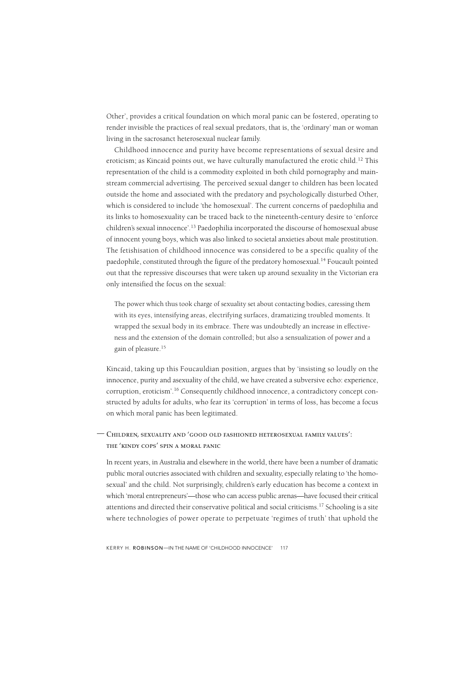Other', provides a critical foundation on which moral panic can be fostered, operating to render invisible the practices of real sexual predators, that is, the 'ordinary' man or woman living in the sacrosanct heterosexual nuclear family.

Childhood innocence and purity have become representations of sexual desire and eroticism; as Kincaid points out, we have culturally manufactured the erotic child.<sup>12</sup> This representation of the child is a commodity exploited in both child pornography and mainstream commercial advertising. The perceived sexual danger to children has been located outside the home and associated with the predatory and psychologically disturbed Other, which is considered to include 'the homosexual'. The current concerns of paedophilia and its links to homosexuality can be traced back to the nineteenth-century desire to 'enforce children's sexual innocence'.13 Paedophilia incorporated the discourse of homosexual abuse of innocent young boys, which was also linked to societal anxieties about male prostitution. The fetishisation of childhood innocence was considered to be a specific quality of the paedophile, constituted through the figure of the predatory homosexual.14 Foucault pointed out that the repressive discourses that were taken up around sexuality in the Victorian era only intensified the focus on the sexual:

The power which thus took charge of sexuality set about contacting bodies, caressing them with its eyes, intensifying areas, electrifying surfaces, dramatizing troubled moments. It wrapped the sexual body in its embrace. There was undoubtedly an increase in effectiveness and the extension of the domain controlled; but also a sensualization of power and a gain of pleasure.15

Kincaid, taking up this Foucauldian position, argues that by 'insisting so loudly on the innocence, purity and asexuality of the child, we have created a subversive echo: experience, corruption, eroticism'.16 Consequently childhood innocence, a contradictory concept constructed by adults for adults, who fear its 'corruption' in terms of loss, has become a focus on which moral panic has been legitimated.

Children, sexuality and 'good old fashioned heterosexual family values': the 'kindy cops' spin a moral panic

In recent years, in Australia and elsewhere in the world, there have been a number of dramatic public moral outcries associated with children and sexuality, especially relating to 'the homosexual' and the child. Not surprisingly, children's early education has become a context in which 'moral entrepreneurs'—those who can access public arenas—have focused their critical attentions and directed their conservative political and social criticisms.17 Schooling is a site where technologies of power operate to perpetuate 'regimes of truth' that uphold the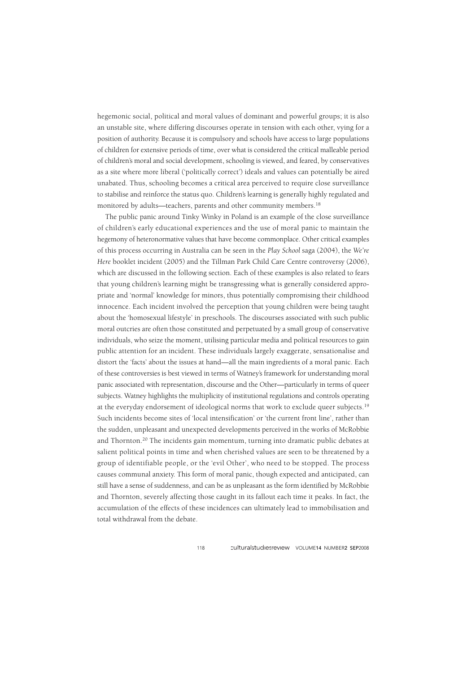hegemonic social, political and moral values of dominant and powerful groups; it is also an unstable site, where differing discourses operate in tension with each other, vying for a position of authority. Because it is compulsory and schools have access to large populations of children for extensive periods of time, over what is considered the critical malleable period of children's moral and social development, schooling is viewed, and feared, by conservatives as a site where more liberal ('politically correct') ideals and values can potentially be aired unabated. Thus, schooling becomes a critical area perceived to require close surveillance to stabilise and reinforce the status quo. Children's learning is generally highly regulated and monitored by adults—teachers, parents and other community members.<sup>18</sup>

The public panic around Tinky Winky in Poland is an example of the close surveillance of children's early educational experiences and the use of moral panic to maintain the hegemony of heteronormative values that have become commonplace. Other critical examples of this process occurring in Australia can be seen in the *Play School* saga (2004), the *We're Here* booklet incident (2005) and the Tillman Park Child Care Centre controversy (2006), which are discussed in the following section. Each of these examples is also related to fears that young children's learning might be transgressing what is generally considered appropriate and 'normal' knowledge for minors, thus potentially compromising their childhood innocence. Each incident involved the perception that young children were being taught about the 'homosexual lifestyle' in preschools. The discourses associated with such public moral outcries are often those constituted and perpetuated by a small group of conservative individuals, who seize the moment, utilising particular media and political resources to gain public attention for an incident. These individuals largely exaggerate, sensationalise and distort the 'facts' about the issues at hand—all the main ingredients of a moral panic. Each of these controversies is best viewed in terms of Watney's framework for understanding moral panic associated with representation, discourse and the Other—particularly in terms of queer subjects. Watney highlights the multiplicity of institutional regulations and controls operating at the everyday endorsement of ideological norms that work to exclude queer subjects.19 Such incidents become sites of 'local intensification' or 'the current front line', rather than the sudden, unpleasant and unexpected developments perceived in the works of McRobbie and Thornton.20 The incidents gain momentum, turning into dramatic public debates at salient political points in time and when cherished values are seen to be threatened by a group of identifiable people, or the 'evil Other', who need to be stopped. The process causes communal anxiety. This form of moral panic, though expected and anticipated, can still have a sense of suddenness, and can be as unpleasant as the form identified by McRobbie and Thornton, severely affecting those caught in its fallout each time it peaks. In fact, the accumulation of the effects of these incidences can ultimately lead to immobilisation and total withdrawal from the debate.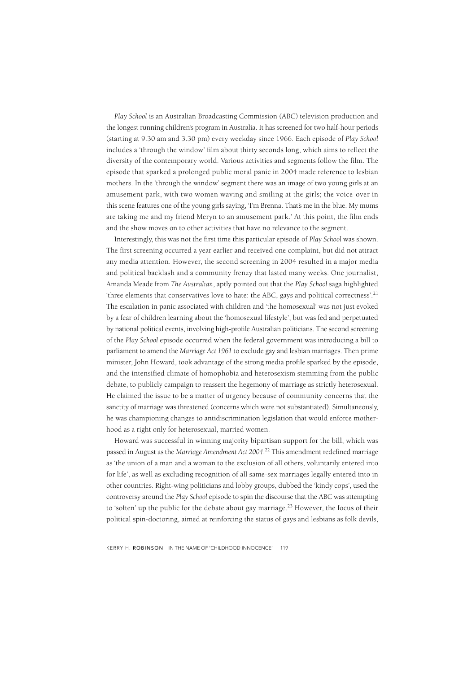*Play School* is an Australian Broadcasting Commission (ABC) television production and the longest running children's program in Australia. It has screened for two half-hour periods (starting at 9.30 am and 3.30 pm) every weekday since 1966. Each episode of *Play School* includes a 'through the window' film about thirty seconds long, which aims to reflect the diversity of the contemporary world. Various activities and segments follow the film. The episode that sparked a prolonged public moral panic in 2004 made reference to lesbian mothers. In the 'through the window' segment there was an image of two young girls at an amusement park, with two women waving and smiling at the girls; the voice-over in this scene features one of the young girls saying, 'I'm Brenna. That's me in the blue. My mums are taking me and my friend Meryn to an amusement park.' At this point, the film ends and the show moves on to other activities that have no relevance to the segment.

Interestingly, this was not the first time this particular episode of *Play School* was shown. The first screening occurred a year earlier and received one complaint, but did not attract any media attention. However, the second screening in 2004 resulted in a major media and political backlash and a community frenzy that lasted many weeks. One journalist, Amanda Meade from *The Australian*, aptly pointed out that the *Play School* saga highlighted 'three elements that conservatives love to hate: the ABC, gays and political correctness'.21 The escalation in panic associated with children and 'the homosexual' was not just evoked by a fear of children learning about the 'homosexual lifestyle', but was fed and perpetuated by national political events, involving high-profile Australian politicians. The second screening of the *Play School* episode occurred when the federal government was introducing a bill to parliament to amend the *Marriage Act 1961* to exclude gay and lesbian marriages. Then prime minister, John Howard, took advantage of the strong media profile sparked by the episode, and the intensified climate of homophobia and heterosexism stemming from the public debate, to publicly campaign to reassert the hegemony of marriage as strictly heterosexual. He claimed the issue to be a matter of urgency because of community concerns that the sanctity of marriage was threatened (concerns which were not substantiated). Simultaneously, he was championing changes to antidiscrimination legislation that would enforce motherhood as a right only for heterosexual, married women.

Howard was successful in winning majority bipartisan support for the bill, which was passed in August as the *Marriage Amendment Act 2004*. <sup>22</sup> This amendment redefined marriage as 'the union of a man and a woman to the exclusion of all others, voluntarily entered into for life', as well as excluding recognition of all same-sex marriages legally entered into in other countries. Right-wing politicians and lobby groups, dubbed the 'kindy cops', used the controversy around the *Play School* episode to spin the discourse that the ABC was attempting to 'soften' up the public for the debate about gay marriage.<sup>23</sup> However, the focus of their political spin-doctoring, aimed at reinforcing the status of gays and lesbians as folk devils,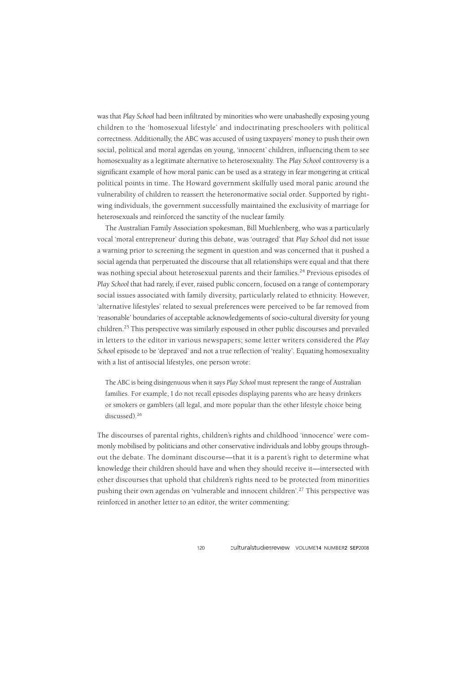was that *Play School* had been infiltrated by minorities who were unabashedly exposing young children to the 'homosexual lifestyle' and indoctrinating preschoolers with political correctness. Additionally, the ABC was accused of using taxpayers' money to push their own social, political and moral agendas on young, 'innocent' children, influencing them to see homosexuality as a legitimate alternative to heterosexuality. The *Play School* controversy is a significant example of how moral panic can be used as a strategy in fear mongering at critical political points in time. The Howard government skilfully used moral panic around the vulnerability of children to reassert the heteronormative social order. Supported by rightwing individuals, the government successfully maintained the exclusivity of marriage for heterosexuals and reinforced the sanctity of the nuclear family.

The Australian Family Association spokesman, Bill Muehlenberg, who was a particularly vocal 'moral entrepreneur' during this debate, was 'outraged' that *Play School* did not issue a warning prior to screening the segment in question and was concerned that it pushed a social agenda that perpetuated the discourse that all relationships were equal and that there was nothing special about heterosexual parents and their families.<sup>24</sup> Previous episodes of *Play School* that had rarely, if ever, raised public concern, focused on a range of contemporary social issues associated with family diversity, particularly related to ethnicity. However, 'alternative lifestyles' related to sexual preferences were perceived to be far removed from 'reasonable' boundaries of acceptable acknowledgements of socio-cultural diversity for young children.25 This perspective was similarly espoused in other public discourses and prevailed in letters to the editor in various newspapers; some letter writers considered the *Play School* episode to be 'depraved' and not a true reflection of 'reality'. Equating homosexuality with a list of antisocial lifestyles, one person wrote:

The ABC is being disingenuous when it says *Play School* must represent the range of Australian families. For example, I do not recall episodes displaying parents who are heavy drinkers or smokers or gamblers (all legal, and more popular than the other lifestyle choice being discussed).<sup>26</sup>

The discourses of parental rights, children's rights and childhood 'innocence' were commonly mobilised by politicians and other conservative individuals and lobby groups throughout the debate. The dominant discourse—that it is a parent's right to determine what knowledge their children should have and when they should receive it—intersected with other discourses that uphold that children's rights need to be protected from minorities pushing their own agendas on 'vulnerable and innocent children'.<sup>27</sup> This perspective was reinforced in another letter to an editor, the writer commenting: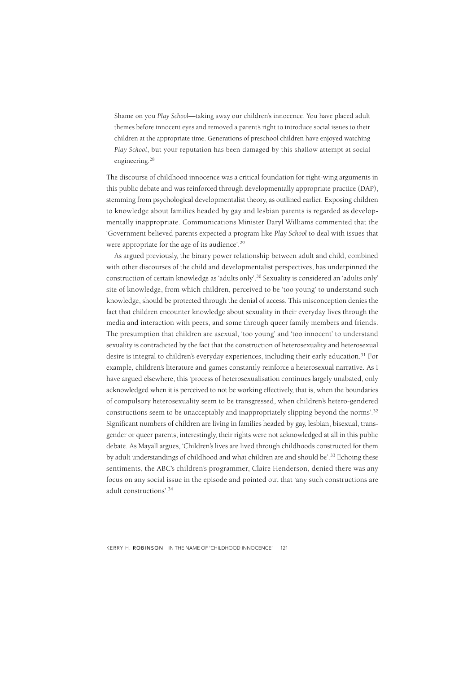Shame on you *Play School*—taking away our children's innocence. You have placed adult themes before innocent eyes and removed a parent's right to introduce social issues to their children at the appropriate time. Generations of preschool children have enjoyed watching *Play School*, but your reputation has been damaged by this shallow attempt at social engineering.28

The discourse of childhood innocence was a critical foundation for right-wing arguments in this public debate and was reinforced through developmentally appropriate practice (DAP), stemming from psychological developmentalist theory, as outlined earlier. Exposing children to knowledge about families headed by gay and lesbian parents is regarded as developmentally inappropriate. Communications Minister Daryl Williams commented that the 'Government believed parents expected a program like *Play School* to deal with issues that were appropriate for the age of its audience'.29

As argued previously, the binary power relationship between adult and child, combined with other discourses of the child and developmentalist perspectives, has underpinned the construction of certain knowledge as 'adults only'.30 Sexuality is considered an 'adults only' site of knowledge, from which children, perceived to be 'too young' to understand such knowledge, should be protected through the denial of access. This misconception denies the fact that children encounter knowledge about sexuality in their everyday lives through the media and interaction with peers, and some through queer family members and friends. The presumption that children are asexual, 'too young' and 'too innocent' to understand sexuality is contradicted by the fact that the construction of heterosexuality and heterosexual desire is integral to children's everyday experiences, including their early education.<sup>31</sup> For example, children's literature and games constantly reinforce a heterosexual narrative. As I have argued elsewhere, this 'process of heterosexualisation continues largely unabated, only acknowledged when it is perceived to not be working effectively, that is, when the boundaries of compulsory heterosexuality seem to be transgressed, when children's hetero-gendered constructions seem to be unacceptably and inappropriately slipping beyond the norms'.32 Significant numbers of children are living in families headed by gay, lesbian, bisexual, transgender or queer parents; interestingly, their rights were not acknowledged at all in this public debate. As Mayall argues, 'Children's lives are lived through childhoods constructed for them by adult understandings of childhood and what children are and should be'.33 Echoing these sentiments, the ABC's children's programmer, Claire Henderson, denied there was any focus on any social issue in the episode and pointed out that 'any such constructions are adult constructions'.34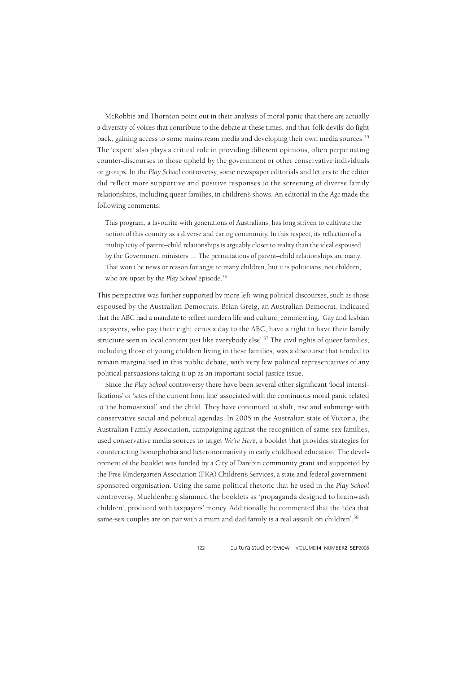McRobbie and Thornton point out in their analysis of moral panic that there are actually a diversity of voices that contribute to the debate at these times, and that 'folk devils' do fight back, gaining access to some mainstream media and developing their own media sources.35 The 'expert' also plays a critical role in providing different opinions, often perpetuating counter-discourses to those upheld by the government or other conservative individuals or groups. In the *Play School* controversy, some newspaper editorials and letters to the editor did reflect more supportive and positive responses to the screening of diverse family relationships, including queer families, in children's shows. An editorial in the *Age* made the following comments:

This program, a favourite with generations of Australians, has long striven to cultivate the notion of this country as a diverse and caring community. In this respect, its reflection of a multiplicity of parent–child relationships is arguably closer to reality than the ideal espoused by the Government ministers … The permutations of parent–child relationships are many. That won't be news or reason for angst to many children, but it is politicians, not children, who are upset by the *Play School* episode.36

This perspective was further supported by more left-wing political discourses, such as those espoused by the Australian Democrats. Brian Greig, an Australian Democrat, indicated that the ABC had a mandate to reflect modern life and culture, commenting, 'Gay and lesbian taxpayers, who pay their eight cents a day to the ABC, have a right to have their family structure seen in local content just like everybody else'.37 The civil rights of queer families, including those of young children living in these families, was a discourse that tended to remain marginalised in this public debate, with very few political representatives of any political persuasions taking it up as an important social justice issue.

Since the *Play School* controversy there have been several other significant 'local intensifications' or 'sites of the current front line' associated with the continuous moral panic related to 'the homosexual' and the child. They have continued to shift, rise and submerge with conservative social and political agendas. In 2005 in the Australian state of Victoria, the Australian Family Association, campaigning against the recognition of same-sex families, used conservative media sources to target *We're Here*, a booklet that provides strategies for counteracting homophobia and heteronormativity in early childhood education. The development of the booklet was funded by a City of Darebin community grant and supported by the Free Kindergarten Association (FKA) Children's Services, a state and federal governmentsponsored organisation. Using the same political rhetoric that he used in the *Play School* controversy, Muehlenberg slammed the booklets as 'propaganda designed to brainwash children', produced with taxpayers' money. Additionally, he commented that the 'idea that same-sex couples are on par with a mum and dad family is a real assault on children'.<sup>38</sup>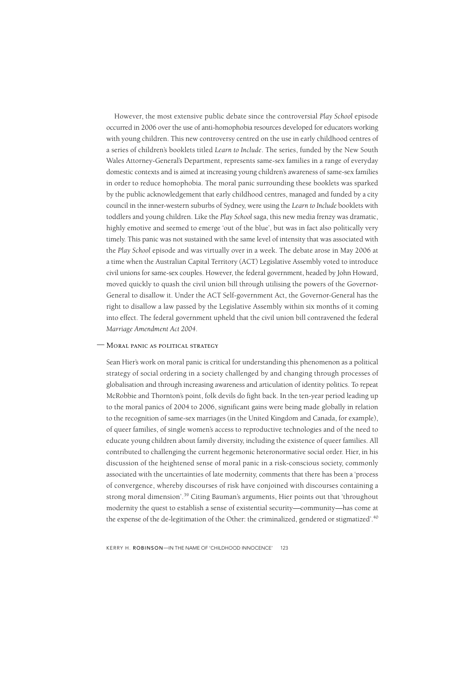However, the most extensive public debate since the controversial *Play School* episode occurred in 2006 over the use of anti-homophobia resources developed for educators working with young children. This new controversy centred on the use in early childhood centres of a series of children's booklets titled *Learn to Include*. The series, funded by the New South Wales Attorney-General's Department, represents same-sex families in a range of everyday domestic contexts and is aimed at increasing young children's awareness of same-sex families in order to reduce homophobia. The moral panic surrounding these booklets was sparked by the public acknowledgement that early childhood centres, managed and funded by a city council in the inner-western suburbs of Sydney, were using the *Learn to Include* booklets with toddlers and young children. Like the *Play School* saga, this new media frenzy was dramatic, highly emotive and seemed to emerge 'out of the blue', but was in fact also politically very timely. This panic was not sustained with the same level of intensity that was associated with the *Play School* episode and was virtually over in a week. The debate arose in May 2006 at a time when the Australian Capital Territory (ACT) Legislative Assembly voted to introduce civil unions for same-sex couples. However, the federal government, headed by John Howard, moved quickly to quash the civil union bill through utilising the powers of the Governor-General to disallow it. Under the ACT Self-government Act, the Governor-General has the right to disallow a law passed by the Legislative Assembly within six months of it coming into effect. The federal government upheld that the civil union bill contravened the federal *Marriage Amendment Act 2004*.

### — MORAL PANIC AS POLITICAL STRATEGY

Sean Hier's work on moral panic is critical for understanding this phenomenon as a political strategy of social ordering in a society challenged by and changing through processes of globalisation and through increasing awareness and articulation of identity politics. To repeat McRobbie and Thornton's point, folk devils do fight back. In the ten-year period leading up to the moral panics of 2004 to 2006, significant gains were being made globally in relation to the recognition of same-sex marriages (in the United Kingdom and Canada, for example), of queer families, of single women's access to reproductive technologies and of the need to educate young children about family diversity, including the existence of queer families. All contributed to challenging the current hegemonic heteronormative social order. Hier, in his discussion of the heightened sense of moral panic in a risk-conscious society, commonly associated with the uncertainties of late modernity, comments that there has been a 'process of convergence, whereby discourses of risk have conjoined with discourses containing a strong moral dimension'.<sup>39</sup> Citing Bauman's arguments, Hier points out that 'throughout modernity the quest to establish a sense of existential security—community—has come at the expense of the de-legitimation of the Other: the criminalized, gendered or stigmatized'.<sup>40</sup>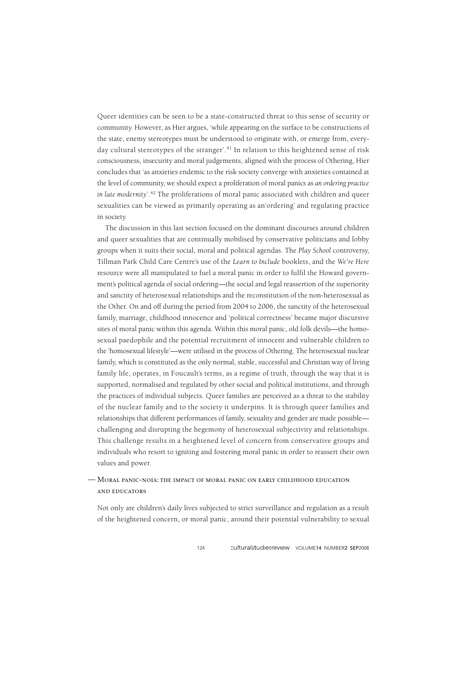Queer identities can be seen to be a state-constructed threat to this sense of security or community. However, as Hier argues, 'while appearing on the surface to be constructions of the state, enemy stereotypes must be understood to originate with, or emerge from, everyday cultural stereotypes of the stranger'.<sup>41</sup> In relation to this heightened sense of risk consciousness, insecurity and moral judgements, aligned with the process of Othering, Hier concludes that 'as anxieties endemic to the risk society converge with anxieties contained at the level of community, we should expect a proliferation of moral panics as *an ordering practice in late modernity*'.42 The proliferations of moral panic associated with children and queer sexualities can be viewed as primarily operating as an'ordering' and regulating practice in society.

The discussion in this last section focused on the dominant discourses around children and queer sexualities that are continually mobilised by conservative politicians and lobby groups when it suits their social, moral and political agendas. The *Play School* controversy, Tillman Park Child Care Centre's use of the *Learn to Include* booklets, and the *We're Here* resource were all manipulated to fuel a moral panic in order to fulfil the Howard government's political agenda of social ordering—the social and legal reassertion of the superiority and sanctity of heterosexual relationships and the reconstitution of the non-heterosexual as the Other. On and off during the period from 2004 to 2006, the sanctity of the heterosexual family, marriage, childhood innocence and 'political correctness' became major discursive sites of moral panic within this agenda. Within this moral panic, old folk devils—the homosexual paedophile and the potential recruitment of innocent and vulnerable children to the 'homosexual lifestyle'—were utilised in the process of Othering. The heterosexual nuclear family, which is constituted as the only normal, stable, successful and Christian way of living family life, operates, in Foucault's terms, as a regime of truth, through the way that it is supported, normalised and regulated by other social and political institutions, and through the practices of individual subjects. Queer families are perceived as a threat to the stability of the nuclear family and to the society it underpins. It is through queer families and relationships that different performances of family, sexuality and gender are made possible challenging and disrupting the hegemony of heterosexual subjectivity and relationships. This challenge results in a heightened level of concern from conservative groups and individuals who resort to igniting and fostering moral panic in order to reassert their own values and power.

## — Moral panic-noia: the impact of moral panic on early childhood education and educators

Not only are children's daily lives subjected to strict surveillance and regulation as a result of the heightened concern, or moral panic, around their potential vulnerability to sexual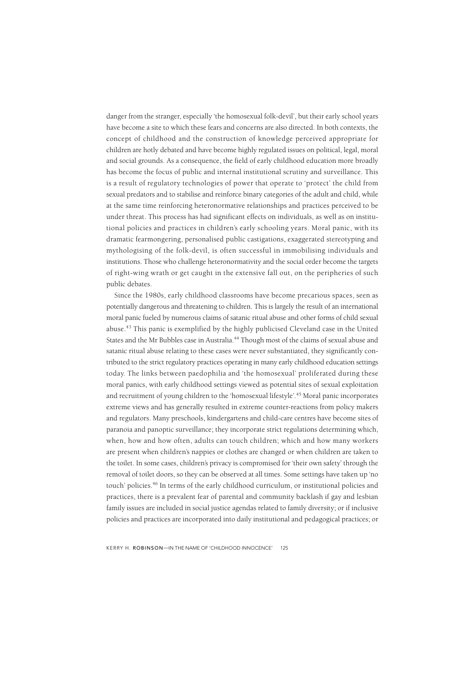danger from the stranger, especially 'the homosexual folk-devil', but their early school years have become a site to which these fears and concerns are also directed. In both contexts, the concept of childhood and the construction of knowledge perceived appropriate for children are hotly debated and have become highly regulated issues on political, legal, moral and social grounds. As a consequence, the field of early childhood education more broadly has become the focus of public and internal institutional scrutiny and surveillance. This is a result of regulatory technologies of power that operate to 'protect' the child from sexual predators and to stabilise and reinforce binary categories of the adult and child, while at the same time reinforcing heteronormative relationships and practices perceived to be under threat. This process has had significant effects on individuals, as well as on institutional policies and practices in children's early schooling years. Moral panic, with its dramatic fearmongering, personalised public castigations, exaggerated stereotyping and mythologising of the folk-devil, is often successful in immobilising individuals and institutions. Those who challenge heteronormativity and the social order become the targets of right-wing wrath or get caught in the extensive fall out, on the peripheries of such public debates.

Since the 1980s, early childhood classrooms have become precarious spaces, seen as potentially dangerous and threatening to children. This is largely the result of an international moral panic fueled by numerous claims of satanic ritual abuse and other forms of child sexual abuse.43 This panic is exemplified by the highly publicised Cleveland case in the United States and the Mr Bubbles case in Australia.<sup>44</sup> Though most of the claims of sexual abuse and satanic ritual abuse relating to these cases were never substantiated, they significantly contributed to the strict regulatory practices operating in many early childhood education settings today. The links between paedophilia and 'the homosexual' proliferated during these moral panics, with early childhood settings viewed as potential sites of sexual exploitation and recruitment of young children to the 'homosexual lifestyle'.45 Moral panic incorporates extreme views and has generally resulted in extreme counter-reactions from policy makers and regulators. Many preschools, kindergartens and child-care centres have become sites of paranoia and panoptic surveillance; they incorporate strict regulations determining which, when, how and how often, adults can touch children; which and how many workers are present when children's nappies or clothes are changed or when children are taken to the toilet. In some cases, children's privacy is compromised for 'their own safety' through the removal of toilet doors, so they can be observed at all times. Some settings have taken up 'no touch' policies.<sup>46</sup> In terms of the early childhood curriculum, or institutional policies and practices, there is a prevalent fear of parental and community backlash if gay and lesbian family issues are included in social justice agendas related to family diversity; or if inclusive policies and practices are incorporated into daily institutional and pedagogical practices; or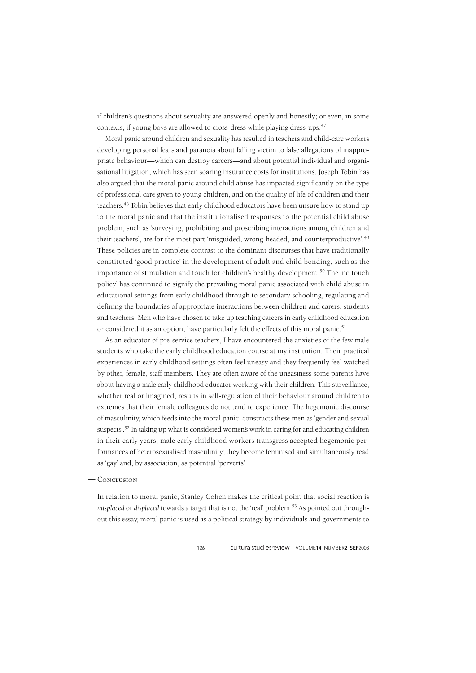if children's questions about sexuality are answered openly and honestly; or even, in some contexts, if young boys are allowed to cross-dress while playing dress-ups.47

Moral panic around children and sexuality has resulted in teachers and child-care workers developing personal fears and paranoia about falling victim to false allegations of inappropriate behaviour—which can destroy careers—and about potential individual and organisational litigation, which has seen soaring insurance costs for institutions. Joseph Tobin has also argued that the moral panic around child abuse has impacted significantly on the type of professional care given to young children, and on the quality of life of children and their teachers.48 Tobin believes that early childhood educators have been unsure how to stand up to the moral panic and that the institutionalised responses to the potential child abuse problem, such as 'surveying, prohibiting and proscribing interactions among children and their teachers', are for the most part 'misguided, wrong-headed, and counterproductive'.49 These policies are in complete contrast to the dominant discourses that have traditionally constituted 'good practice' in the development of adult and child bonding, such as the importance of stimulation and touch for children's healthy development.<sup>50</sup> The 'no touch policy' has continued to signify the prevailing moral panic associated with child abuse in educational settings from early childhood through to secondary schooling, regulating and defining the boundaries of appropriate interactions between children and carers, students and teachers. Men who have chosen to take up teaching careers in early childhood education or considered it as an option, have particularly felt the effects of this moral panic.<sup>51</sup>

As an educator of pre-service teachers, I have encountered the anxieties of the few male students who take the early childhood education course at my institution. Their practical experiences in early childhood settings often feel uneasy and they frequently feel watched by other, female, staff members. They are often aware of the uneasiness some parents have about having a male early childhood educator working with their children. This surveillance, whether real or imagined, results in self-regulation of their behaviour around children to extremes that their female colleagues do not tend to experience. The hegemonic discourse of masculinity, which feeds into the moral panic, constructs these men as 'gender and sexual suspects'.52 In taking up what is considered women's work in caring for and educating children in their early years, male early childhood workers transgress accepted hegemonic performances of heterosexualised masculinity; they become feminised and simultaneously read as 'gay' and, by association, as potential 'perverts'.

#### — Conclusion

In relation to moral panic, Stanley Cohen makes the critical point that social reaction is *misplaced* or *displaced* towards a target that is not the 'real' problem.<sup>53</sup> As pointed out throughout this essay, moral panic is used as a political strategy by individuals and governments to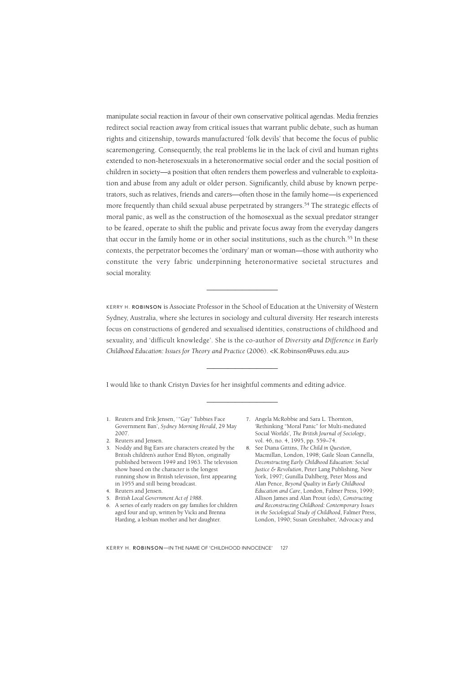manipulate social reaction in favour of their own conservative political agendas. Media frenzies redirect social reaction away from critical issues that warrant public debate, such as human rights and citizenship, towards manufactured 'folk devils' that become the focus of public scaremongering. Consequently, the real problems lie in the lack of civil and human rights extended to non-heterosexuals in a heteronormative social order and the social position of children in society—a position that often renders them powerless and vulnerable to exploitation and abuse from any adult or older person. Significantly, child abuse by known perpetrators, such as relatives, friends and carers—often those in the family home—is experienced more frequently than child sexual abuse perpetrated by strangers.<sup>54</sup> The strategic effects of moral panic, as well as the construction of the homosexual as the sexual predator stranger to be feared, operate to shift the public and private focus away from the everyday dangers that occur in the family home or in other social institutions, such as the church.<sup>55</sup> In these contexts, the perpetrator becomes the 'ordinary' man or woman—those with authority who constitute the very fabric underpinning heteronormative societal structures and social morality.

KERRY H. ROBINSON is Associate Professor in the School of Education at the University of Western Sydney, Australia, where she lectures in sociology and cultural diversity. Her research interests focus on constructions of gendered and sexualised identities, constructions of childhood and sexuality, and 'difficult knowledge'. She is the co-author of *Diversity and Difference in Early Childhood Education: Issues for Theory and Practice* (2006). <K.Robinson@uws.edu.au>

——————————

——————————

——————————

I would like to thank Cristyn Davies for her insightful comments and editing advice.

- 1. Reuters and Erik Jensen, "Gay" Tubbies Face Government Ban', *Sydney Morning Herald*, 29 May 2007.
- 2. Reuters and Jensen.
- 3. Noddy and Big Ears are characters created by the British children's author Enid Blyton, originally published between 1949 and 1963. The television show based on the character is the longest running show in British television, first appearing in 1955 and still being broadcast.
- 4. Reuters and Jensen.
- 5. *British Local Government Act of 1988*.
- 6. A series of early readers on gay families for children aged four and up, written by Vicki and Brenna Harding, a lesbian mother and her daughter.
- 7. Angela McRobbie and Sara L. Thornton, 'Rethinking "Moral Panic" for Multi-mediated Social Worlds', *The British Journal of Sociology*, vol. 46, no. 4, 1995, pp. 559–74.
- 8. See Diana Gittins, *The Child in Question*, Macmillan, London, 1998; Gaile Sloan Cannella, *Deconstructing Early Childhood Education: Social Justice & Revolution*, Peter Lang Publishing, New York, 1997; Gunilla Dahlberg, Peter Moss and Alan Pence, *Beyond Quality in Early Childhood Education and Care*, London, Falmer Press, 1999; Allison James and Alan Prout (eds), *Constructing and Reconstructing Childhood: Contemporary Issues in the Sociological Study of Childhood*, Falmer Press, London, 1990; Susan Greishaber, 'Advocacy and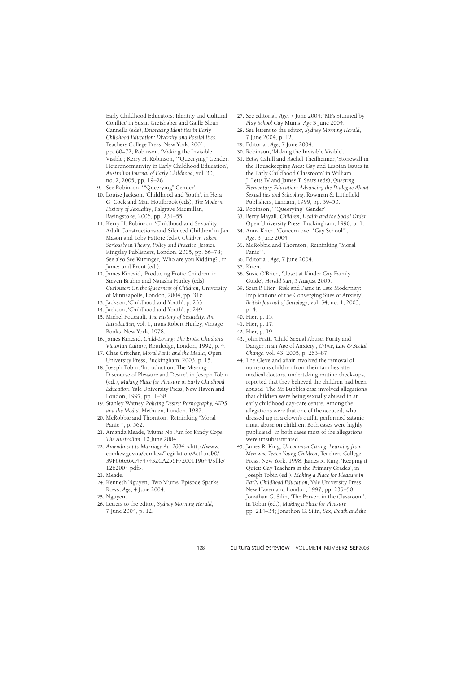Early Childhood Educators: Identity and Cultural Conflict' in Susan Greishaber and Gaille Sloan Cannella (eds), *Embracing Identities in Early Childhood Education: Diversity and Possibilities*, Teachers College Press, New York, 2001, pp. 60–72; Robinson, 'Making the Invisible Visible'; Kerry H. Robinson, ' "Queerying" Gender: Heteronormativity in Early Childhood Education', *Australian Journal of Early Childhood*, vol. 30*,* no. 2, 2005, pp. 19–28.

- 9. See Robinson, ' "Queerying" Gender'.
- 10. Louise Jackson, 'Childhood and Youth', in Hera G. Cock and Matt Houlbrook (eds), *The Modern History of Sexuality*, Palgrave Macmillan, Basingstoke, 2006, pp. 231–55.
- 11. Kerry H. Robinson, 'Childhood and Sexuality: Adult Constructions and Silenced Children' in Jan Mason and Toby Fattore (eds), *Children Taken Seriously in Theory, Policy and Practice*, Jessica Kingsley Publishers, London, 2005, pp. 66–78; See also See Kitzinger, 'Who are you Kidding?', in James and Prout (ed.).
- 12. James Kincaid, 'Producing Erotic Children' in Steven Bruhm and Natasha Hurley (eds), *Curiouser: On the Queerness of Children*, University of Minneapolis, London, 2004, pp. 316.
- 13. Jackson, 'Childhood and Youth', p. 233.
- 14. Jackson, 'Childhood and Youth', p. 249.
- 15. Michel Foucault, *The History of Sexuality: An Introduction,* vol. 1, trans Robert Hurley, Vintage Books, New York, 1978.
- 16. James Kincaid, *Child-Loving: The Erotic Child and Victorian Culture*, Routledge, London, 1992, p. 4.
- 17. Chas Critcher, *Moral Panic and the Media*, Open University Press, Buckingham, 2003, p. 15.
- 18. Joseph Tobin, 'Introduction: The Missing Discourse of Pleasure and Desire', in Joseph Tobin (ed.), *Making Place for Pleasure in Early Childhood Education*, Yale University Press, New Haven and London, 1997, pp. 1–38.
- 19. Stanley Watney, *Policing Desire: Pornography, AIDS and the Media*, Methuen, London, 1987.
- 20. McRobbie and Thornton, 'Rethinking "Moral Panic"', p. 562.
- 21. Amanda Meade, 'Mums No Fun for Kindy Cops' *The Australian*, 10 June 2004.
- 22. *Amendment to Marriage Act 2004*. <http://www. comlaw.gov.au/comlaw/Legislation/Act1.nsf/0/ 39F666A6C4F47432CA256F7200119644/\$file/ 1262004.pdf>.
- 23. Meade.
- 24. Kenneth Nguyen, 'Two Mums' Episode Sparks Rows, *Age*, 4 June 2004.
- 25. Nguyen. 26. Letters to the editor, *Sydney Morning Herald*,
- 7 June 2004, p. 12.
- 27. See editorial, *Age*, 7 June 2004; 'MPs Stunned by *Play School* Gay Mums, *Age* 3 June 2004.
- 28. See letters to the editor, *Sydney Morning Herald*, 7 June 2004, p. 12.
- 29. Editorial, *Age*, 7 June 2004.
- 30. Robinson, 'Making the Invisible Visible'.
- 31. Betsy Cahill and Rachel Theilheimer, 'Stonewall in the Housekeeping Area: Gay and Lesbian Issues in the Early Childhood Classroom' in William. J. Letts IV and James T. Sears (eds), *Queering Elementary Education: Advancing the Dialogue About Sexualities and Schooling*, Rowman & Littlefield Publishers, Lanham, 1999, pp. 39–50.
- 32. Robinson, "Queerying" Gender'.
- 33. Berry Mayall, *Children, Health and the Social Order*, Open University Press, Buckingham, 1996, p. 1.
- 34. Anna Krien, 'Concern over "Gay School" ', *Age*, 3 June 2004.
- 35. McRobbie and Thornton, 'Rethinking "Moral Panic'
- 36. Editorial, *Age*, 7 June 2004.
- 37. Krien.
- 38. Susie O'Brien, 'Upset at Kinder Gay Family Guide', *Herald Sun*, 5 August 2005.
- 39. Sean P. Hier, 'Risk and Panic in Late Modernity: Implications of the Converging Sites of Anxiety', *British Journal of Sociology*, vol. 54, no. 1, 2003, p. 4.
- 40. Hier, p. 15.
- 41. Hier, p. 17.
- 42. Hier, p. 19.
- 43. John Pratt, 'Child Sexual Abuse: Purity and Danger in an Age of Anxiety', *Crime, Law & Social Change*, vol. 43, 2005, p. 263–87.
- 44. The Cleveland affair involved the removal of numerous children from their families after medical doctors, undertaking routine check-ups, reported that they believed the children had been abused. The Mr Bubbles case involved allegations that children were being sexually abused in an early childhood day-care centre. Among the allegations were that one of the accused, who dressed up in a clown's outfit, performed satanic ritual abuse on children. Both cases were highly publicised. In both cases most of the allegations .<br>were unsubstantiated.
- 45. James R. King, *Uncommon Caring: Learning from Men who Teach Young Children*, Teachers College Press, New York, 1998; James R. King, 'Keeping it Quiet: Gay Teachers in the Primary Grades', in Joseph Tobin (ed.), *Making a Place for Pleasure in Early Childhood Education*, Yale University Press, New Haven and London, 1997, pp. 235–50; Jonathan G. Silin, 'The Pervert in the Classroom', in Tobin (ed.), *Making a Place for Pleasure* pp. 214–34; Jonathon G. Silin, *Sex, Death and the*

128 Culturalstudiesreview VOLUME14 NUMBER2 SEP2008